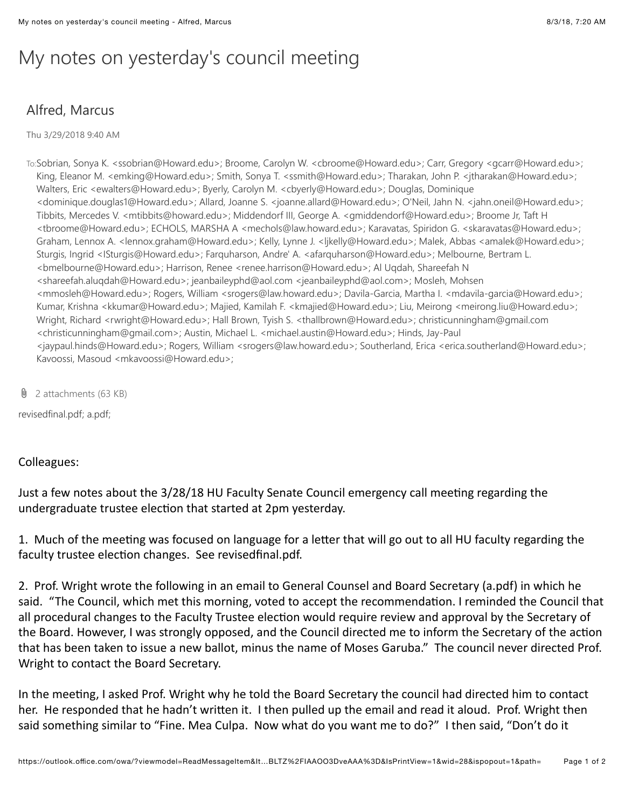## My notes on yesterday's council meeting

## Alfred, Marcus

Thu 3/29/2018 9:40 AM

To:Sobrian, Sonya K. <ssobrian@Howard.edu>; Broome, Carolyn W. <cbroome@Howard.edu>; Carr, Gregory <gcarr@Howard.edu>; King, Eleanor M. <emking@Howard.edu>; Smith, Sonya T. <ssmith@Howard.edu>; Tharakan, John P. <jtharakan@Howard.edu>; Walters, Eric <ewalters@Howard.edu>; Byerly, Carolyn M. <cbyerly@Howard.edu>; Douglas, Dominique <dominique.douglas1@Howard.edu>; Allard, Joanne S. <joanne.allard@Howard.edu>; O'Neil, Jahn N. <jahn.oneil@Howard.edu>; Tibbits, Mercedes V. <mtibbits@howard.edu>; Middendorf III, George A. <gmiddendorf@Howard.edu>; Broome Jr, Taft H <tbroome@Howard.edu>; ECHOLS, MARSHA A <mechols@law.howard.edu>; Karavatas, Spiridon G. <skaravatas@Howard.edu>; Graham, Lennox A. <lennox.graham@Howard.edu>; Kelly, Lynne J. <ljkelly@Howard.edu>; Malek, Abbas <amalek@Howard.edu>; Sturgis, Ingrid <ISturgis@Howard.edu>; Farquharson, Andre' A. <afarquharson@Howard.edu>; Melbourne, Bertram L. <bmelbourne@Howard.edu>; Harrison, Renee <renee.harrison@Howard.edu>; Al Uqdah, Shareefah N <shareefah.aluqdah@Howard.edu>; jeanbaileyphd@aol.com <jeanbaileyphd@aol.com>; Mosleh, Mohsen <mmosleh@Howard.edu>; Rogers, William <srogers@law.howard.edu>; Davila-Garcia, Martha I. <mdavila-garcia@Howard.edu>; Kumar, Krishna <kkumar@Howard.edu>; Majied, Kamilah F. <kmajied@Howard.edu>; Liu, Meirong <meirong.liu@Howard.edu>; Wright, Richard <rwright@Howard.edu>; Hall Brown, Tyish S. <thallbrown@Howard.edu>; christicunningham@gmail.com <christicunningham@gmail.com>; Austin, Michael L. <michael.austin@Howard.edu>; Hinds, Jay-Paul <jaypaul.hinds@Howard.edu>; Rogers, William <srogers@law.howard.edu>; Southerland, Erica <erica.southerland@Howard.edu>; Kavoossi, Masoud <mkavoossi@Howard.edu>;

 $\theta$  2 attachments (63 KB)

revisedfinal.pdf; a.pdf;

## Colleagues:

Just a few notes about the 3/28/18 HU Faculty Senate Council emergency call meeting regarding the undergraduate trustee election that started at 2pm yesterday.

1. Much of the meeting was focused on language for a letter that will go out to all HU faculty regarding the faculty trustee election changes. See revisedfinal.pdf.

2. Prof. Wright wrote the following in an email to General Counsel and Board Secretary (a.pdf) in which he said. "The Council, which met this morning, voted to accept the recommendation. I reminded the Council that all procedural changes to the Faculty Trustee election would require review and approval by the Secretary of the Board. However, I was strongly opposed, and the Council directed me to inform the Secretary of the action that has been taken to issue a new ballot, minus the name of Moses Garuba." The council never directed Prof. Wright to contact the Board Secretary.

In, the meeting, I asked Prof. Wright why he told the Board Secretary the council had directed him to contact her.,He responded that he hadn't written it. I then pulled up the email and read it aloud. Prof. Wright then said something similar to "Fine. Mea Culpa. Now what do you want me to do?" I then said, "Don't do it